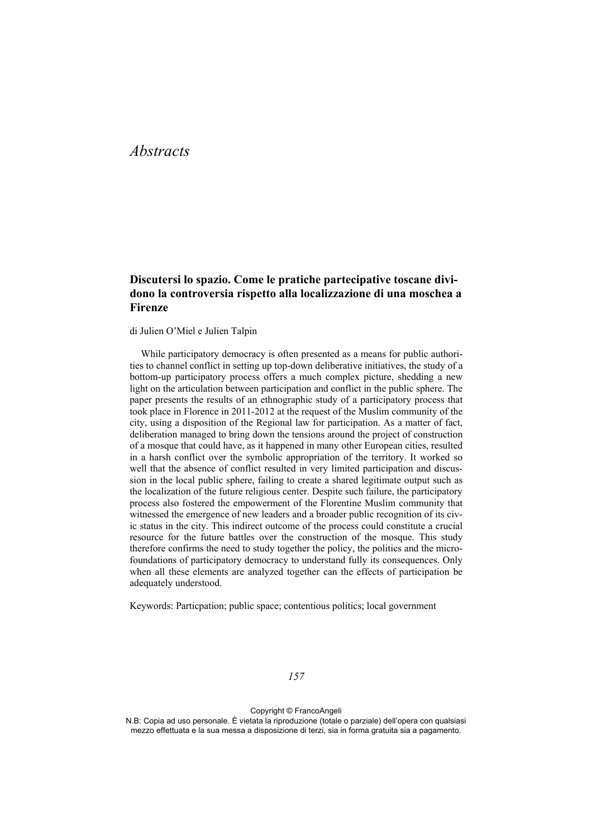# *Abstracts*

# **Discutersi lo spazio. Come le pratiche partecipative toscane dividono la controversia rispetto alla localizzazione di una moschea a Firenze**

di Julien O'Miel e Julien Talpin

While participatory democracy is often presented as a means for public authorities to channel conflict in setting up top-down deliberative initiatives, the study of a bottom-up participatory process offers a much complex picture, shedding a new light on the articulation between participation and conflict in the public sphere. The paper presents the results of an ethnographic study of a participatory process that took place in Florence in 2011-2012 at the request of the Muslim community of the city, using a disposition of the Regional law for participation. As a matter of fact, deliberation managed to bring down the tensions around the project of construction of a mosque that could have, as it happened in many other European cities, resulted in a harsh conflict over the symbolic appropriation of the territory. It worked so well that the absence of conflict resulted in very limited participation and discussion in the local public sphere, failing to create a shared legitimate output such as the localization of the future religious center. Despite such failure, the participatory process also fostered the empowerment of the Florentine Muslim community that witnessed the emergence of new leaders and a broader public recognition of its civic status in the city. This indirect outcome of the process could constitute a crucial resource for the future battles over the construction of the mosque. This study therefore confirms the need to study together the policy, the politics and the microfoundations of participatory democracy to understand fully its consequences. Only when all these elements are analyzed together can the effects of participation be adequately understood.

Keywords: Particpation; public space; contentious politics; local government

Copyright © FrancoAngeli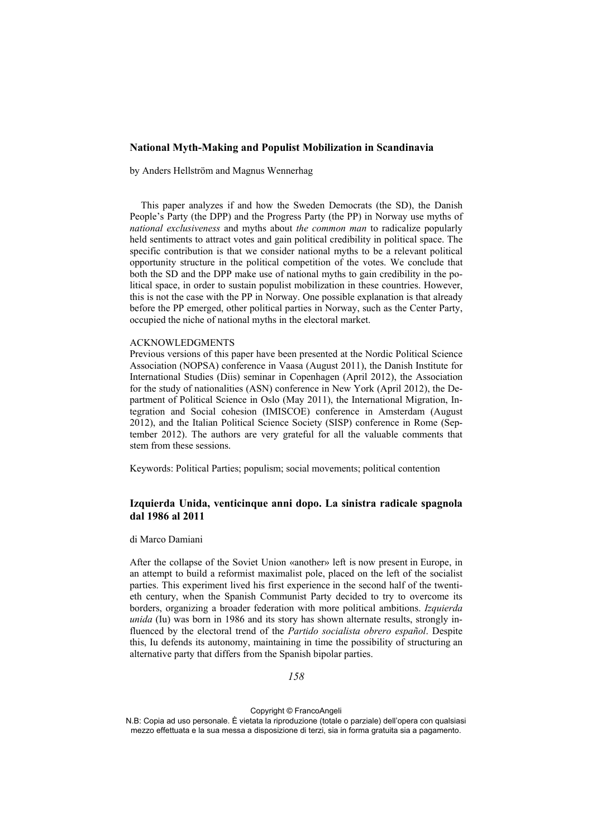# **National Myth-Making and Populist Mobilization in Scandinavia**

by Anders Hellström and Magnus Wennerhag

This paper analyzes if and how the Sweden Democrats (the SD), the Danish People's Party (the DPP) and the Progress Party (the PP) in Norway use myths of *national exclusiveness* and myths about *the common man* to radicalize popularly held sentiments to attract votes and gain political credibility in political space. The specific contribution is that we consider national myths to be a relevant political opportunity structure in the political competition of the votes. We conclude that both the SD and the DPP make use of national myths to gain credibility in the political space, in order to sustain populist mobilization in these countries. However, this is not the case with the PP in Norway. One possible explanation is that already before the PP emerged, other political parties in Norway, such as the Center Party, occupied the niche of national myths in the electoral market.

#### ACKNOWLEDGMENTS

Previous versions of this paper have been presented at the Nordic Political Science Association (NOPSA) conference in Vaasa (August 2011), the Danish Institute for International Studies (Diis) seminar in Copenhagen (April 2012), the Association for the study of nationalities (ASN) conference in New York (April 2012), the Department of Political Science in Oslo (May 2011), the International Migration, Integration and Social cohesion (IMISCOE) conference in Amsterdam (August 2012), and the Italian Political Science Society (SISP) conference in Rome (September 2012). The authors are very grateful for all the valuable comments that stem from these sessions.

Keywords: Political Parties; populism; social movements; political contention

# **Izquierda Unida, venticinque anni dopo. La sinistra radicale spagnola dal 1986 al 2011**

di Marco Damiani

After the collapse of the Soviet Union «another» left is now present in Europe, in an attempt to build a reformist maximalist pole, placed on the left of the socialist parties. This experiment lived his first experience in the second half of the twentieth century, when the Spanish Communist Party decided to try to overcome its borders, organizing a broader federation with more political ambitions. *Izquierda unida* (Iu) was born in 1986 and its story has shown alternate results, strongly influenced by the electoral trend of the *Partido socialista obrero español*. Despite this, Iu defends its autonomy, maintaining in time the possibility of structuring an alternative party that differs from the Spanish bipolar parties.

#### *158*

Copyright © FrancoAngeli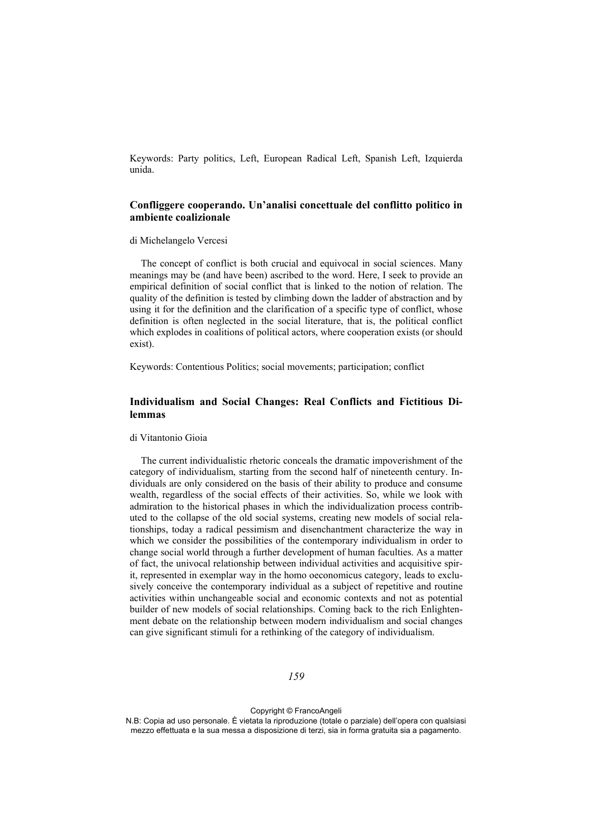Keywords: Party politics, Left, European Radical Left, Spanish Left, Izquierda unida.

# **Confliggere cooperando. Un'analisi concettuale del conflitto politico in ambiente coalizionale**

#### di Michelangelo Vercesi

The concept of conflict is both crucial and equivocal in social sciences. Many meanings may be (and have been) ascribed to the word. Here, I seek to provide an empirical definition of social conflict that is linked to the notion of relation. The quality of the definition is tested by climbing down the ladder of abstraction and by using it for the definition and the clarification of a specific type of conflict, whose definition is often neglected in the social literature, that is, the political conflict which explodes in coalitions of political actors, where cooperation exists (or should exist).

Keywords: Contentious Politics; social movements; participation; conflict

# **Individualism and Social Changes: Real Conflicts and Fictitious Dilemmas**

#### di Vitantonio Gioia

The current individualistic rhetoric conceals the dramatic impoverishment of the category of individualism, starting from the second half of nineteenth century. Individuals are only considered on the basis of their ability to produce and consume wealth, regardless of the social effects of their activities. So, while we look with admiration to the historical phases in which the individualization process contributed to the collapse of the old social systems, creating new models of social relationships, today a radical pessimism and disenchantment characterize the way in which we consider the possibilities of the contemporary individualism in order to change social world through a further development of human faculties. As a matter of fact, the univocal relationship between individual activities and acquisitive spirit, represented in exemplar way in the homo oeconomicus category, leads to exclusively conceive the contemporary individual as a subject of repetitive and routine activities within unchangeable social and economic contexts and not as potential builder of new models of social relationships. Coming back to the rich Enlightenment debate on the relationship between modern individualism and social changes can give significant stimuli for a rethinking of the category of individualism.

#### *159*

Copyright © FrancoAngeli